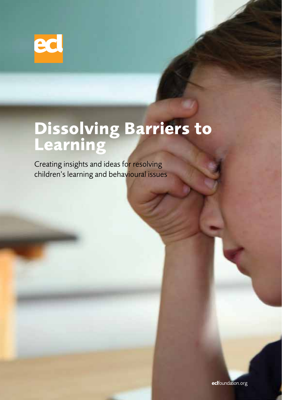

## **Dissolving Barriers to Learning**

Creating insights and ideas for resolving children's learning and behavioural issues

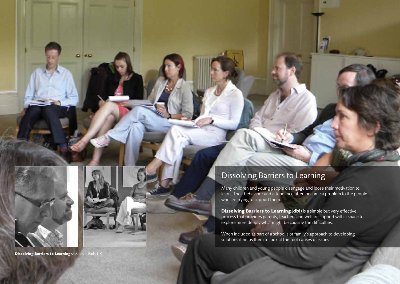



**Dissolving Barriers to Learning** sessions in Bath, UK

## Dissolving Barriers to Learning

Many children and young people disengage and loose their motivation to learn. Their behaviour and attendance often become a problem to the people who are trying to support them.

**Dissolving Barriers to Learning** (**dbl**) is a simple but very effective process that provides parents, teachers and welfare support with a space to explore more deeply what might be causing the difficulties.

When included as part of a school's or family's approach to developing solutions it helps them to look at the root causes of issues.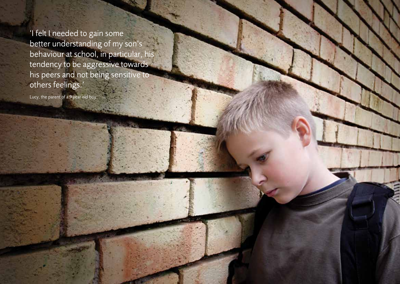'I felt I needed to gain some better understanding of my son's behaviour at school, in particular, his tendency to be aggressive towards his peers and not being sensitive to others feelings.'

Lucy, the parent of a 9 year old boy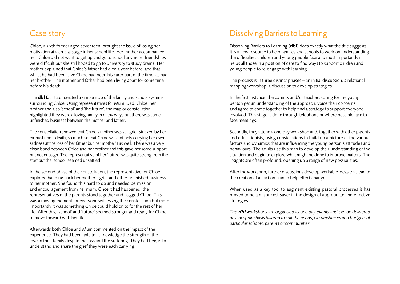## Case story

Chloe, a sixth former aged seventeen, brought the issue of losing her motivation at a crucial stage in her school life. Her mother accompanied her. Chloe did not want to get up and go to school anymore; friendships were difficult but she still hoped to go to university to study drama. Her mother explained that Chloe's father had died a year before, and that whilst he had been alive Chloe had been his carer part of the time, as had her brother. The mother and father had been living apart for some time before his death.

The **dbl** facilitator created a simple map of the family and school systems surrounding Chloe. Using representatives for Mum, Dad, Chloe, her brother and also 'school' and 'the future', the map or constellation highlighted they were a loving family in many ways but there was some unfinished business between the mother and father.

The constellation showed that Chloe's mother was still grief-stricken by her ex-husband's death, so much so that Chloe was not only carrying her own sadness at the loss of her father but her mother's as well. There was a very close bond between Chloe and her brother and this gave her some support but not enough. The representative of her 'future' was quite strong from the start but the 'school' seemed unsettled.

In the second phase of the constellation, the representative for Chloe explored handing back her mother's grief and other unfinished business to her mother. She found this hard to do and needed permission and encouragement from her mum. Once it had happened, the representatives of the parents stood together and hugged Chloe. This was a moving moment for everyone witnessing the constellation but more importantly it was something Chloe could hold on to for the rest of her life. After this, 'school' and 'future' seemed stronger and ready for Chloe to move forward with her life.

Afterwards both Chloe and Mum commented on the impact of the experience. They had been able to acknowledge the strength of the love in their family despite the loss and the suffering. They had begun to understand and share the grief they were each carrying.

## Dissolving Barriers to Learning

Dissolving Barriers to Learning (**dbl**) does exactly what the title suggests. It is a new resource to help families and schools to work on understanding the difficulties children and young people face and most importantly it helps all those in a position of care to find ways to support children and young people to re-engage with learning.

The process is in three distinct phases – an initial discussion, a relational mapping workshop, a discussion to develop strategies.

In the first instance, the parents and/or teachers caring for the young person get an understanding of the approach, voice their concerns and agree to come together to help find a strategy to support everyone involved. This stage is done through telephone or where possible face to face meetings.

Secondly, they attend a one-day workshop and, together with other parents and educationists, using constellations to build up a picture of the various factors and dynamics that are influencing the young person's attitudes and behaviours. The adults use this map to develop their understanding of the situation and begin to explore what might be done to improve matters. The insights are often profound, opening up a range of new possibilities.

After the workshop, further discussions develop workable ideas that lead to the creation of an action plan to help effect change.

When used as a key tool to augment existing pastoral processes it has proved to be a major cost-saver in the design of appropriate and effective strategies.

*The* **dbl** *workshops are organised as one day events and can be delivered on a bespoke basis tailored to suit the needs, circumstances and budgets of particular schools, parents or communities.*